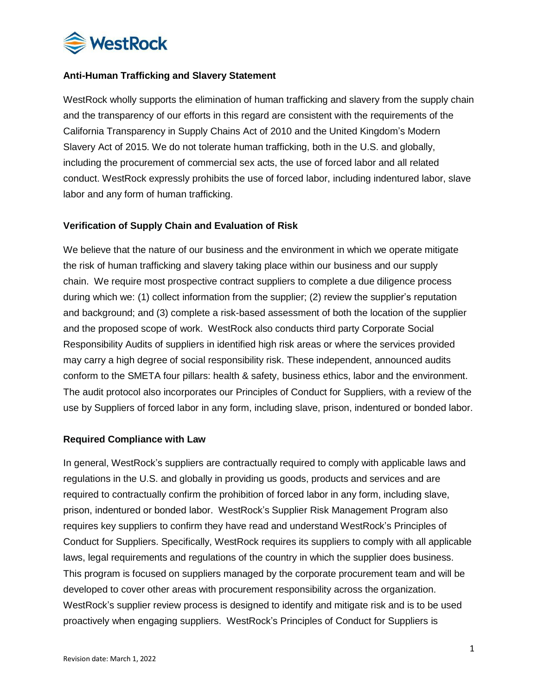

## **Anti-Human Trafficking and Slavery Statement**

WestRock wholly supports the elimination of human trafficking and slavery from the supply chain and the transparency of our efforts in this regard are consistent with the requirements of the California Transparency in Supply Chains Act of 2010 and the United Kingdom's Modern Slavery Act of 2015. We do not tolerate human trafficking, both in the U.S. and globally, including the procurement of commercial sex acts, the use of forced labor and all related conduct. WestRock expressly prohibits the use of forced labor, including indentured labor, slave labor and any form of human trafficking.

#### **Verification of Supply Chain and Evaluation of Risk**

We believe that the nature of our business and the environment in which we operate mitigate the risk of human trafficking and slavery taking place within our business and our supply chain. We require most prospective contract suppliers to complete a due diligence process during which we: (1) collect information from the supplier; (2) review the supplier's reputation and background; and (3) complete a risk-based assessment of both the location of the supplier and the proposed scope of work. WestRock also conducts third party Corporate Social Responsibility Audits of suppliers in identified high risk areas or where the services provided may carry a high degree of social responsibility risk. These independent, announced audits conform to the SMETA four pillars: health & safety, business ethics, labor and the environment. The audit protocol also incorporates our Principles of Conduct for Suppliers, with a review of the use by Suppliers of forced labor in any form, including slave, prison, indentured or bonded labor.

## **Required Compliance with Law**

In general, WestRock's suppliers are contractually required to comply with applicable laws and regulations in the U.S. and globally in providing us goods, products and services and are required to contractually confirm the prohibition of forced labor in any form, including slave, prison, indentured or bonded labor. WestRock's Supplier Risk Management Program also requires key suppliers to confirm they have read and understand WestRock's Principles of Conduct for Suppliers. Specifically, WestRock requires its suppliers to comply with all applicable laws, legal requirements and regulations of the country in which the supplier does business. This program is focused on suppliers managed by the corporate procurement team and will be developed to cover other areas with procurement responsibility across the organization. WestRock's supplier review process is designed to identify and mitigate risk and is to be used proactively when engaging suppliers. WestRock's Principles of Conduct for Suppliers is